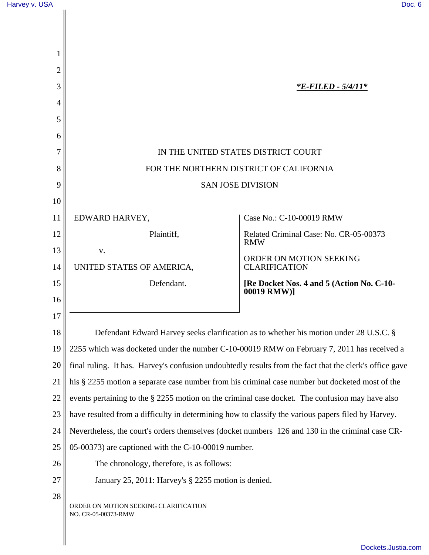| Harvey v. USA | Doc. 6 |
|---------------|--------|
|               |        |

| 2        |                                                                                                         |                                                                                        |  |
|----------|---------------------------------------------------------------------------------------------------------|----------------------------------------------------------------------------------------|--|
| 3        |                                                                                                         | <i><b>*E-FILED - 5/4/11*</b></i>                                                       |  |
| 4        |                                                                                                         |                                                                                        |  |
| 5        |                                                                                                         |                                                                                        |  |
| 6        |                                                                                                         |                                                                                        |  |
|          | IN THE UNITED STATES DISTRICT COURT                                                                     |                                                                                        |  |
| 8        | FOR THE NORTHERN DISTRICT OF CALIFORNIA                                                                 |                                                                                        |  |
| 9        | <b>SAN JOSE DIVISION</b>                                                                                |                                                                                        |  |
| 10       |                                                                                                         |                                                                                        |  |
| 11       | EDWARD HARVEY,                                                                                          | Case No.: C-10-00019 RMW                                                               |  |
| 12       | Plaintiff,                                                                                              | Related Criminal Case: No. CR-05-00373<br><b>RMW</b>                                   |  |
| 13       | V.                                                                                                      | ORDER ON MOTION SEEKING                                                                |  |
| 14       | UNITED STATES OF AMERICA,                                                                               | <b>CLARIFICATION</b>                                                                   |  |
| 15<br>16 | Defendant.                                                                                              | [Re Docket Nos. 4 and 5 (Action No. C-10-<br>00019 RMW)]                               |  |
| 17       |                                                                                                         |                                                                                        |  |
| 18       |                                                                                                         | Defendant Edward Harvey seeks clarification as to whether his motion under 28 U.S.C. § |  |
| 19       | 2255 which was docketed under the number C-10-00019 RMW on February 7, 2011 has received a              |                                                                                        |  |
| 20       | final ruling. It has. Harvey's confusion undoubtedly results from the fact that the clerk's office gave |                                                                                        |  |
| 21       | his § 2255 motion a separate case number from his criminal case number but docketed most of the         |                                                                                        |  |
| 22       | events pertaining to the § 2255 motion on the criminal case docket. The confusion may have also         |                                                                                        |  |
| 23       | have resulted from a difficulty in determining how to classify the various papers filed by Harvey.      |                                                                                        |  |
| 24       | Nevertheless, the court's orders themselves (docket numbers 126 and 130 in the criminal case CR-        |                                                                                        |  |
| 25       | 05-00373) are captioned with the C-10-00019 number.                                                     |                                                                                        |  |
| 26       | The chronology, therefore, is as follows:                                                               |                                                                                        |  |
| 27       | January 25, 2011: Harvey's § 2255 motion is denied.                                                     |                                                                                        |  |
| 28       | ORDER ON MOTION SEEKING CLARIFICATION<br>NO. CR-05-00373-RMW                                            |                                                                                        |  |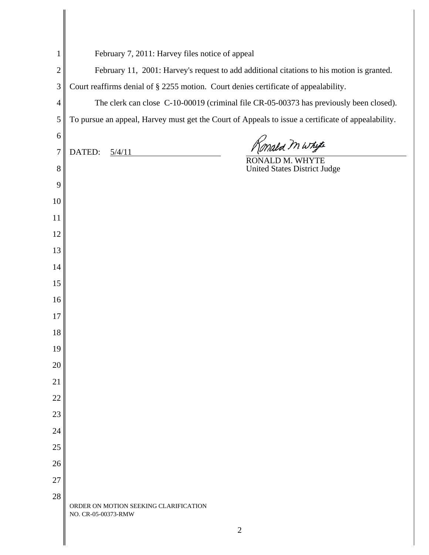| $\mathbf{1}$     | February 7, 2011: Harvey files notice of appeal                                                    |
|------------------|----------------------------------------------------------------------------------------------------|
| $\mathbf{2}$     | February 11, 2001: Harvey's request to add additional citations to his motion is granted.          |
| 3                | Court reaffirms denial of § 2255 motion. Court denies certificate of appealability.                |
| $\overline{4}$   | The clerk can close C-10-00019 (criminal file CR-05-00373 has previously been closed).             |
| $\mathfrak s$    | To pursue an appeal, Harvey must get the Court of Appeals to issue a certificate of appealability. |
| 6                |                                                                                                    |
| $\boldsymbol{7}$ | Konald m whyte<br>DATED:<br>5/4/11<br>RONALD M. WHYTE                                              |
| 8                | <b>United States District Judge</b>                                                                |
| 9                |                                                                                                    |
| 10               |                                                                                                    |
| 11               |                                                                                                    |
| 12               |                                                                                                    |
| 13               |                                                                                                    |
| 14               |                                                                                                    |
| 15               |                                                                                                    |
| 16               |                                                                                                    |
| 17               |                                                                                                    |
| 18               |                                                                                                    |
| 19               |                                                                                                    |
| 20               |                                                                                                    |
| 21               |                                                                                                    |
| 22               |                                                                                                    |
| 23               |                                                                                                    |
| 24               |                                                                                                    |
| 25               |                                                                                                    |
| 26               |                                                                                                    |
| 27               |                                                                                                    |
| 28               | ORDER ON MOTION SEEKING CLARIFICATION<br>NO. CR-05-00373-RMW                                       |